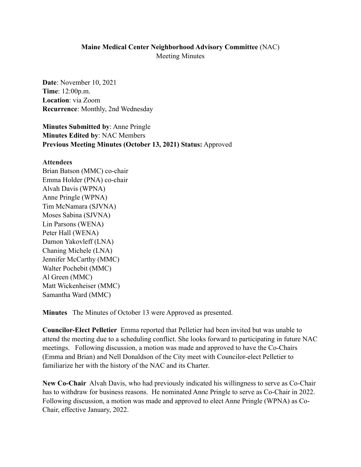## **Maine Medical Center Neighborhood Advisory Committee** (NAC) Meeting Minutes

**Date**: November 10, 2021 **Time**: 12:00p.m. **Location**: via Zoom **Recurrence**: Monthly, 2nd Wednesday

**Minutes Submitted by**: Anne Pringle **Minutes Edited by**: NAC Members **Previous Meeting Minutes (October 13, 2021) Status:** Approved

## **Attendees**

Brian Batson (MMC) co-chair Emma Holder (PNA) co-chair Alvah Davis (WPNA) Anne Pringle (WPNA) Tim McNamara (SJVNA) Moses Sabina (SJVNA) Lin Parsons (WENA) Peter Hall (WENA) Damon Yakovleff (LNA) Chaning Michele (LNA) Jennifer McCarthy (MMC) Walter Pochebit (MMC) Al Green (MMC) Matt Wickenheiser (MMC) Samantha Ward (MMC)

**Minutes** The Minutes of October 13 were Approved as presented.

**Councilor-Elect Pelletier** Emma reported that Pelletier had been invited but was unable to attend the meeting due to a scheduling conflict. She looks forward to participating in future NAC meetings. Following discussion, a motion was made and approved to have the Co-Chairs (Emma and Brian) and Nell Donaldson of the City meet with Councilor-elect Pelletier to familiarize her with the history of the NAC and its Charter.

**New Co-Chair** Alvah Davis, who had previously indicated his willingness to serve as Co-Chair has to withdraw for business reasons. He nominated Anne Pringle to serve as Co-Chair in 2022. Following discussion, a motion was made and approved to elect Anne Pringle (WPNA) as Co-Chair, effective January, 2022.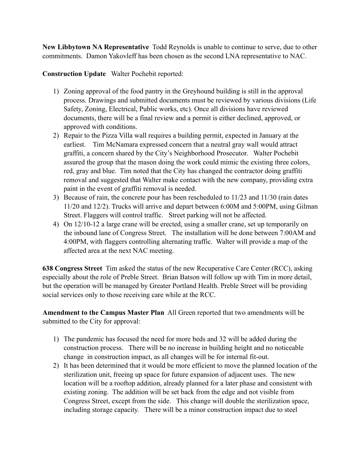**New Libbytown NA Representative** Todd Reynolds is unable to continue to serve, due to other commitments. Damon Yakovleff has been chosen as the second LNA representative to NAC.

**Construction Update** Walter Pochebit reported:

- 1) Zoning approval of the food pantry in the Greyhound building is still in the approval process. Drawings and submitted documents must be reviewed by various divisions (Life Safety, Zoning, Electrical, Public works, etc). Once all divisions have reviewed documents, there will be a final review and a permit is either declined, approved, or approved with conditions.
- 2) Repair to the Pizza Villa wall requires a building permit, expected in January at the earliest. Tim McNamara expressed concern that a neutral gray wall would attract graffiti, a concern shared by the City's Neighborhood Prosecutor. Walter Pochebit assured the group that the mason doing the work could mimic the existing three colors, red, gray and blue. Tim noted that the City has changed the contractor doing graffiti removal and suggested that Walter make contact with the new company, providing extra paint in the event of graffiti removal is needed.
- 3) Because of rain, the concrete pour has been rescheduled to 11/23 and 11/30 (rain dates 11/20 and 12/2). Trucks will arrive and depart between 6:00M and 5:00PM, using Gilman Street. Flaggers will control traffic. Street parking will not be affected.
- 4) On 12/10-12 a large crane will be erected, using a smaller crane, set up temporarily on the inbound lane of Congress Street. The installation will be done between 7:00AM and 4:00PM, with flaggers controlling alternating traffic. Walter will provide a map of the affected area at the next NAC meeting.

**638 Congress Street** Tim asked the status of the new Recuperative Care Center (RCC), asking especially about the role of Preble Street. Brian Batson will follow up with Tim in more detail, but the operation will be managed by Greater Portland Health. Preble Street will be providing social services only to those receiving care while at the RCC.

**Amendment to the Campus Master Plan** All Green reported that two amendments will be submitted to the City for approval:

- 1) The pandemic has focused the need for more beds and 32 will be added during the construction process. There will be no increase in building height and no noticeable change in construction impact, as all changes will be for internal fit-out.
- 2) It has been determined that it would be more efficient to move the planned location of the sterilization unit, freeing up space for future expansion of adjacent uses. The new location will be a rooftop addition, already planned for a later phase and consistent with existing zoning. The addition will be set back from the edge and not visible from Congress Street, except from the side. This change will double the sterilization space, including storage capacity. There will be a minor construction impact due to steel